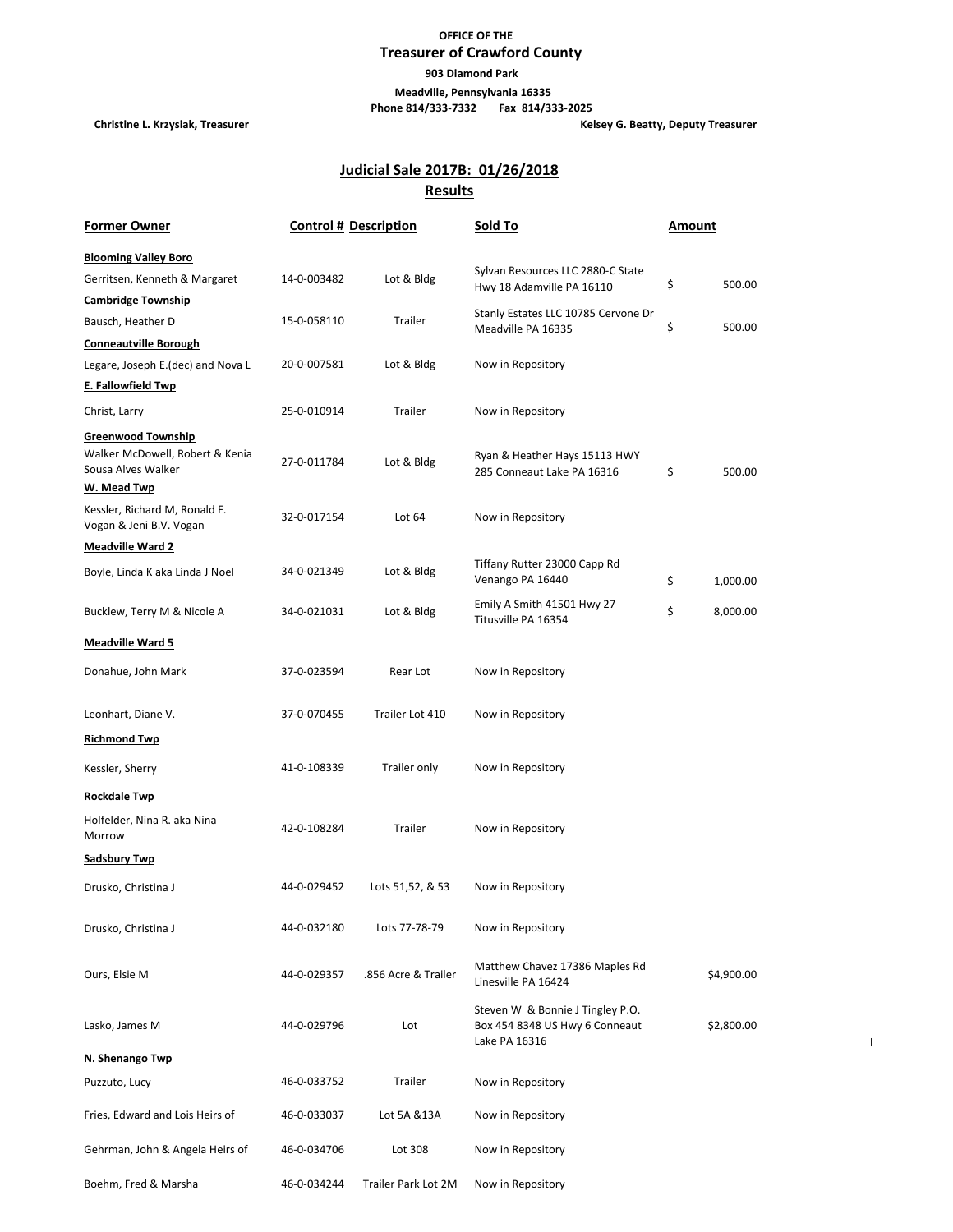## **OFFICE OF THE**

 **Treasurer of Crawford County**

 **903 Diamond Park**

 **Meadville, Pennsylvania 16335**

 **Phone 814/333-7332 Fax 814/333-2025**

**Christine L. Krzysiak, Treasurer Kelsey G. Beatty, Deputy Treasurer**

l

## **Results Judicial Sale 2017B: 01/26/2018**

| <b>Former Owner</b>                                                                               | <b>Control # Description</b> |                     | Sold To                                                                             | Amount         |
|---------------------------------------------------------------------------------------------------|------------------------------|---------------------|-------------------------------------------------------------------------------------|----------------|
| <b>Blooming Valley Boro</b>                                                                       |                              |                     |                                                                                     |                |
| Gerritsen, Kenneth & Margaret                                                                     | 14-0-003482                  | Lot & Bldg          | Sylvan Resources LLC 2880-C State<br>Hwy 18 Adamville PA 16110                      | \$<br>500.00   |
| <b>Cambridge Township</b>                                                                         |                              |                     |                                                                                     |                |
| Bausch, Heather D                                                                                 | 15-0-058110                  | Trailer             | Stanly Estates LLC 10785 Cervone Dr<br>Meadville PA 16335                           | \$<br>500.00   |
| <b>Conneautville Borough</b>                                                                      |                              |                     |                                                                                     |                |
| Legare, Joseph E.(dec) and Nova L                                                                 | 20-0-007581                  | Lot & Bldg          | Now in Repository                                                                   |                |
| <b>E. Fallowfield Twp</b>                                                                         |                              |                     |                                                                                     |                |
| Christ, Larry                                                                                     | 25-0-010914                  | Trailer             | Now in Repository                                                                   |                |
| <b>Greenwood Township</b><br>Walker McDowell, Robert & Kenia<br>Sousa Alves Walker<br>W. Mead Twp | 27-0-011784                  | Lot & Bldg          | Ryan & Heather Hays 15113 HWY<br>285 Conneaut Lake PA 16316                         | \$<br>500.00   |
| Kessler, Richard M, Ronald F.<br>Vogan & Jeni B.V. Vogan                                          | 32-0-017154                  | Lot $64$            | Now in Repository                                                                   |                |
| <b>Meadville Ward 2</b>                                                                           |                              |                     |                                                                                     |                |
| Boyle, Linda K aka Linda J Noel                                                                   | 34-0-021349                  | Lot & Bldg          | Tiffany Rutter 23000 Capp Rd<br>Venango PA 16440                                    | \$<br>1,000.00 |
| Bucklew, Terry M & Nicole A                                                                       | 34-0-021031                  | Lot & Bldg          | Emily A Smith 41501 Hwy 27<br>Titusville PA 16354                                   | \$<br>8,000.00 |
| <b>Meadville Ward 5</b>                                                                           |                              |                     |                                                                                     |                |
| Donahue, John Mark                                                                                | 37-0-023594                  | Rear Lot            | Now in Repository                                                                   |                |
| Leonhart, Diane V.                                                                                | 37-0-070455                  | Trailer Lot 410     | Now in Repository                                                                   |                |
| <b>Richmond Twp</b>                                                                               |                              |                     |                                                                                     |                |
| Kessler, Sherry                                                                                   | 41-0-108339                  | Trailer only        | Now in Repository                                                                   |                |
| <u>Rockdale Twp</u>                                                                               |                              |                     |                                                                                     |                |
| Holfelder, Nina R. aka Nina<br>Morrow                                                             | 42-0-108284                  | Trailer             | Now in Repository                                                                   |                |
| <b>Sadsbury Twp</b>                                                                               |                              |                     |                                                                                     |                |
| Drusko, Christina J                                                                               | 44-0-029452                  | Lots 51,52, & 53    | Now in Repository                                                                   |                |
| Drusko, Christina J                                                                               | 44-0-032180                  | Lots 77-78-79       | Now in Repository                                                                   |                |
| Ours, Elsie M                                                                                     | 44-0-029357                  | .856 Acre & Trailer | Matthew Chavez 17386 Maples Rd<br>Linesville PA 16424                               | \$4,900.00     |
| Lasko, James M                                                                                    | 44-0-029796                  | Lot                 | Steven W & Bonnie J Tingley P.O.<br>Box 454 8348 US Hwy 6 Conneaut<br>Lake PA 16316 | \$2,800.00     |
| N. Shenango Twp                                                                                   |                              |                     |                                                                                     |                |
| Puzzuto, Lucy                                                                                     | 46-0-033752                  | Trailer             | Now in Repository                                                                   |                |
| Fries, Edward and Lois Heirs of                                                                   | 46-0-033037                  | Lot 5A &13A         | Now in Repository                                                                   |                |
| Gehrman, John & Angela Heirs of                                                                   | 46-0-034706                  | Lot 308             | Now in Repository                                                                   |                |
| Boehm, Fred & Marsha                                                                              | 46-0-034244                  | Trailer Park Lot 2M | Now in Repository                                                                   |                |